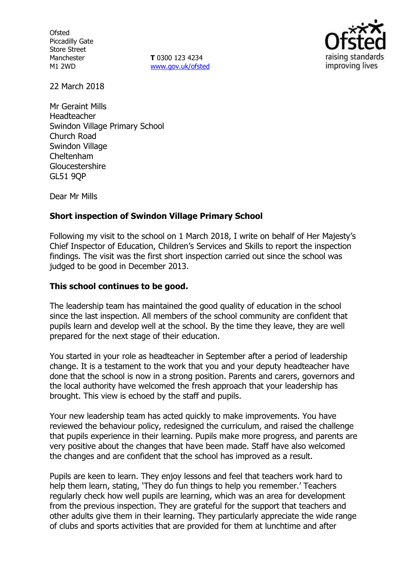**Ofsted** Piccadilly Gate Store Street Manchester M1 2WD

**T** 0300 123 4234 www.gov.uk/ofsted



22 March 2018

Mr Geraint Mills Headteacher Swindon Village Primary School Church Road Swindon Village Cheltenham Gloucestershire GL51 9QP

Dear Mr Mills

## **Short inspection of Swindon Village Primary School**

Following my visit to the school on 1 March 2018, I write on behalf of Her Majesty's Chief Inspector of Education, Children's Services and Skills to report the inspection findings. The visit was the first short inspection carried out since the school was judged to be good in December 2013.

#### **This school continues to be good.**

The leadership team has maintained the good quality of education in the school since the last inspection. All members of the school community are confident that pupils learn and develop well at the school. By the time they leave, they are well prepared for the next stage of their education.

You started in your role as headteacher in September after a period of leadership change. It is a testament to the work that you and your deputy headteacher have done that the school is now in a strong position. Parents and carers, governors and the local authority have welcomed the fresh approach that your leadership has brought. This view is echoed by the staff and pupils.

Your new leadership team has acted quickly to make improvements. You have reviewed the behaviour policy, redesigned the curriculum, and raised the challenge that pupils experience in their learning. Pupils make more progress, and parents are very positive about the changes that have been made. Staff have also welcomed the changes and are confident that the school has improved as a result.

Pupils are keen to learn. They enjoy lessons and feel that teachers work hard to help them learn, stating, 'They do fun things to help you remember.' Teachers regularly check how well pupils are learning, which was an area for development from the previous inspection. They are grateful for the support that teachers and other adults give them in their learning. They particularly appreciate the wide range of clubs and sports activities that are provided for them at lunchtime and after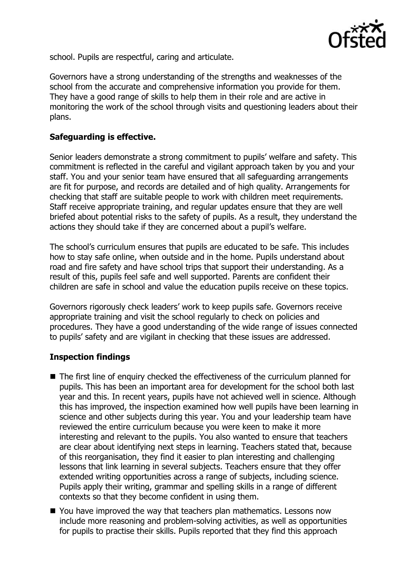

school. Pupils are respectful, caring and articulate.

Governors have a strong understanding of the strengths and weaknesses of the school from the accurate and comprehensive information you provide for them. They have a good range of skills to help them in their role and are active in monitoring the work of the school through visits and questioning leaders about their plans.

# **Safeguarding is effective.**

Senior leaders demonstrate a strong commitment to pupils' welfare and safety. This commitment is reflected in the careful and vigilant approach taken by you and your staff. You and your senior team have ensured that all safeguarding arrangements are fit for purpose, and records are detailed and of high quality. Arrangements for checking that staff are suitable people to work with children meet requirements. Staff receive appropriate training, and regular updates ensure that they are well briefed about potential risks to the safety of pupils. As a result, they understand the actions they should take if they are concerned about a pupil's welfare.

The school's curriculum ensures that pupils are educated to be safe. This includes how to stay safe online, when outside and in the home. Pupils understand about road and fire safety and have school trips that support their understanding. As a result of this, pupils feel safe and well supported. Parents are confident their children are safe in school and value the education pupils receive on these topics.

Governors rigorously check leaders' work to keep pupils safe. Governors receive appropriate training and visit the school regularly to check on policies and procedures. They have a good understanding of the wide range of issues connected to pupils' safety and are vigilant in checking that these issues are addressed.

## **Inspection findings**

- The first line of enquiry checked the effectiveness of the curriculum planned for pupils. This has been an important area for development for the school both last year and this. In recent years, pupils have not achieved well in science. Although this has improved, the inspection examined how well pupils have been learning in science and other subjects during this year. You and your leadership team have reviewed the entire curriculum because you were keen to make it more interesting and relevant to the pupils. You also wanted to ensure that teachers are clear about identifying next steps in learning. Teachers stated that, because of this reorganisation, they find it easier to plan interesting and challenging lessons that link learning in several subjects. Teachers ensure that they offer extended writing opportunities across a range of subjects, including science. Pupils apply their writing, grammar and spelling skills in a range of different contexts so that they become confident in using them.
- You have improved the way that teachers plan mathematics. Lessons now include more reasoning and problem-solving activities, as well as opportunities for pupils to practise their skills. Pupils reported that they find this approach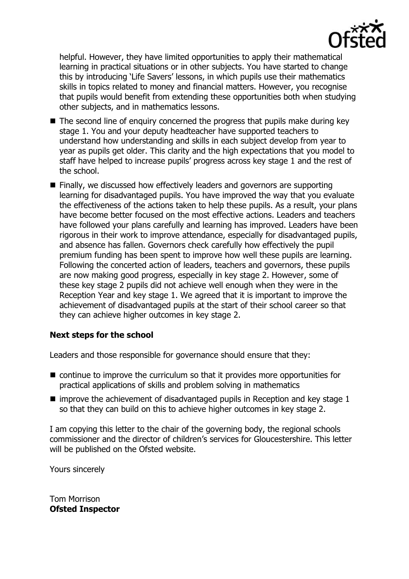

helpful. However, they have limited opportunities to apply their mathematical learning in practical situations or in other subjects. You have started to change this by introducing 'Life Savers' lessons, in which pupils use their mathematics skills in topics related to money and financial matters. However, you recognise that pupils would benefit from extending these opportunities both when studying other subjects, and in mathematics lessons.

- $\blacksquare$  The second line of enquiry concerned the progress that pupils make during key stage 1. You and your deputy headteacher have supported teachers to understand how understanding and skills in each subject develop from year to year as pupils get older. This clarity and the high expectations that you model to staff have helped to increase pupils' progress across key stage 1 and the rest of the school.
- **Finally, we discussed how effectively leaders and governors are supporting** learning for disadvantaged pupils. You have improved the way that you evaluate the effectiveness of the actions taken to help these pupils. As a result, your plans have become better focused on the most effective actions. Leaders and teachers have followed your plans carefully and learning has improved. Leaders have been rigorous in their work to improve attendance, especially for disadvantaged pupils, and absence has fallen. Governors check carefully how effectively the pupil premium funding has been spent to improve how well these pupils are learning. Following the concerted action of leaders, teachers and governors, these pupils are now making good progress, especially in key stage 2. However, some of these key stage 2 pupils did not achieve well enough when they were in the Reception Year and key stage 1. We agreed that it is important to improve the achievement of disadvantaged pupils at the start of their school career so that they can achieve higher outcomes in key stage 2.

## **Next steps for the school**

Leaders and those responsible for governance should ensure that they:

- continue to improve the curriculum so that it provides more opportunities for practical applications of skills and problem solving in mathematics
- $\blacksquare$  improve the achievement of disadvantaged pupils in Reception and key stage 1 so that they can build on this to achieve higher outcomes in key stage 2.

I am copying this letter to the chair of the governing body, the regional schools commissioner and the director of children's services for Gloucestershire. This letter will be published on the Ofsted website.

Yours sincerely

Tom Morrison **Ofsted Inspector**